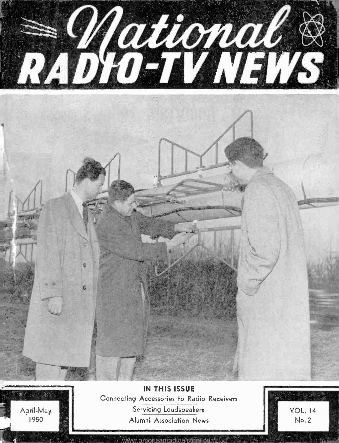



IN THIS ISSUE Connecting Accessories to Radio Receivers Servicing Loudspeakers Alumni Association News

ww.americanradiohistory.com

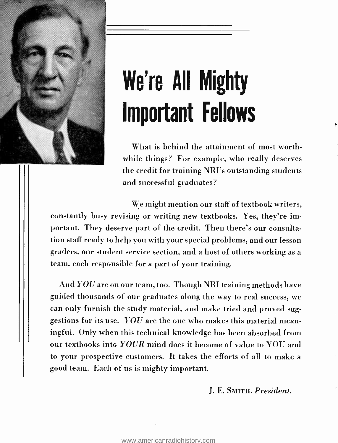

# We're All Mighty Important Fellows

What is behind the attainment of most worthwhile things? For example, who really deserves the credit for training NRI's outstanding students and successful graduates?

We might mention our staff of textbook writers, constantly busy revising or writing new textbooks. Yes, they're important. They deserve part of the credit. Then there's our consultation staff ready to help you with your special problems, and our lesson graders, our student service section, and a host of others working as a team, each responsible for a part of your training.

And YOU are on our team, too. Though NRI training methods have guided thousands of our graduates along the way to real success, we can only furnish the study material, and make tried and proved suggestions for its use.  $YOU$  are the one who makes this material meaningful. Only when this technical knowledge has been absorbed from our textbooks into YOUR mind does it become of value to YOU and to your prospective customers. It takes the efforts of all to make a good team. Each of us is mighty important.

J. E. SMITH, President.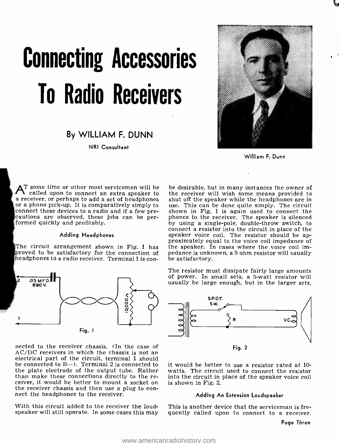# Connecting Accessories To Radio Receivers

## By WILLIAM F. DUNN

NRI Consultant



William F. Dunn

 $\bm{\lambda}^{\text{T}}$  some time or other most servicemen will be called upon to connect an extra speaker to a receiver, or perhaps to add a set of headphones shut off the speaker while the headphones are in<br>or a phono pick-up. It is comparatively simply to use. This can be done quite simply. The circuit<br>connect these devices to cautions are observed, these jobs can be per-<br>formed quickly and profitably.

#### Adding Headphones

The circuit arrangement shown in Fig. 1 has proved to be satisfactory for the connection of pedance is unknew headphones to a radio receiver. Terminal 1 is conheadphones t0 a radio receiver. Terminal 1 is con-



nected to the receiver chassis. (In the case of AC/DC receivers in which the chassis is not an electrical part of the circuit, terminal 1 should be connected to  $B -$ ). Terminal 2 is connected to the plate electrode of the output tube. Rather<br>than make these connections directly to the receiver, it would be better to mount a socket on the receiver chassis and then use a plug to connect the headphones to the receiver.

With this circuit added to the receiver the loudspeaker will still operate. In some cases this may be desirable, but in many instances the owner of the receiver will wish some means provided to use. This can be done quite simply. The circuit shown in Fig. 1 is again used to connect the phones to the receiver. The speaker is silenced by using a single -pole, double -throw switch, to connect a resistor into the circuit in place of the speaker voice coil. The resistor should be approximately equal to the voice coil impedance of the speaker. In cases where the voice coil impedance is unknown, a 5 ohm resistor will usually

The resistor must dissipate fairly large amounts of power. In small sets, a 5 -watt resistor will usually be large enough, but in the larger sets,



Fig. 2

it would be better to use a resistor rated at 10 watts. The circuit used to connect the resistor into the circuit in place of the speaker voice coil is shown in Fig. 2.

#### Adding An Extension Loudspeaker

This is another device that the serviceman is frequently called upon to connect to a receiver.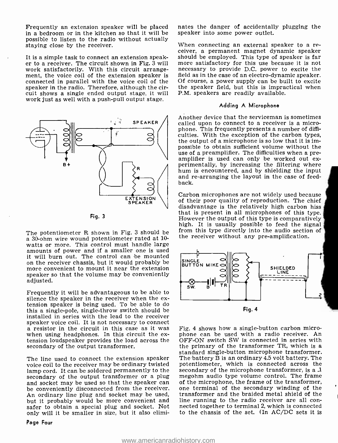Frequently an extension speaker will be placed in a bedroom or in the kitchen so that it will be possible to listen to the radio without actually staying close by the receiver.

work satisfactorily. With this circuit arrangement, the voice coil of the extension speaker is field as in the case of an electro-dynamic speaker.<br>connected in parallel with the voice coil of the Of course, a power supply can be built to excite connected in parallel with the voice coil of the speaker in the radio. Therefore, although the circuit shows a single ended output stage, it will work just as well with a push -pull output stage.





The potentiometer R shown in Fig. 3 should be a 30-ohm wire wound potentiometer rated at 10 watts or more. This control must handle large amounts of power and if a smaller one is used<br>it will burn out. The control can be mounted It will burn out. The control can be more control can be control can be more convenient to mount it near the extension speaker so that the volume may be conveniently adjusted.

Frequently it will be advantageous to be able to tension speaker is being used. To be able to do this a single -pole, single -throw switch should be installed in series with the lead to the receiver a resistor in the circuit in this case as it was when using headphones. In this circuit the ex-<br>tension loudspeaker provides the load across the secondary of the output transformer.

The line used to connect the extension speaker voice coil to the receiver may be ordinary twisted lamp cord. It can be soldered permanently to the secondary of the microphone transformer, is a 1<br>secondary of the output transformer or a plug megohm audio type volume control. The frame secondary of the output transformer or a plug and socket may be used so that the speaker can of the microphone, the frame of the transformer,<br>be conveniently disconnected from the receiver. one terminal of the secondary winding of the An ordinary line plug and socket may be used, but it probably would be more convenient and line running to the radio receiver are all con-<br>safer to obtain a special plug and socket. Not arected together to terminal 2, which is connected safer to obtain a special plug and socket. Not only will it be smaller in size, but it also elimi-

Page Four

nates the danger of accidentally plugging the speaker into some power outlet.

It is a simple task to connect an extension speak-<br>
er to a receiver. The circuit shown in Fig. 3 will more satisfactory for this use because it is not When connecting an external speaker to a re-<br>ceiver, a permanent magnet dynamic speaker necessary to provide D.C. power to excite the field as in the case of an electro-dynamic speaker. the speaker field, but this is impractical when P.M. speakers are readily available.

#### Adding A Microphone

Another device that the serviceman is sometimes called upon to connect to a receiver is a microphone. This frequently presents a number of difficulties. With the exception of the carbon types, the output of a microphone is so low that it is impossible to obtain sufficient volume without the use of a preamplifier. The difficulties when a preamplifier is used can only be worked out ex-<br>perimentally, by increasing the filtering where<br>hum is encountered, and by shielding the input and re-arranging the layout in the case of feedback.

Carbon microphones are not widely used because of their poor quality of reproduction. The chief disadvantage is the relatively high carbon hiss<br>that is present in all microphones of this type. However the output of this type is comparatively<br>high. It is usually possible to feed the signal<br>from this type directly into the audio section of the receiver without any pre-amplification.



Fig. 4 shows how a single- button carbon microphone can be used with a radio receiver. An OFF -ON switch SW is connected in series with the primary of the transformer TR, which is a standard single- button microphone transformer. The battery  $\bar{\mathrm{B}}$  is an ordinary 4.5 volt battery. The potentiometer, which is connected across the secondary of the microphone transformer, is a  $.1$ of the microphone, the frame of the transformer, transformer and the braided metal shield of the line running to the radio receiver are all conto the chassis of the set. (In AC/DC sets it is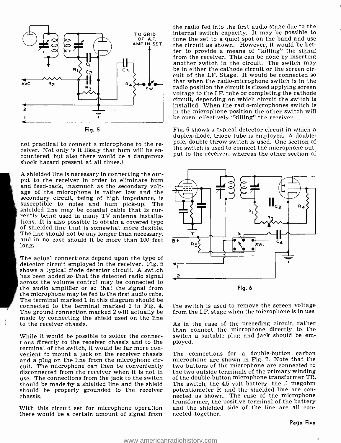

Fig. 5

not practical to connect a microphone to the re-<br>ceiver. Not only is it likely that hum will be en-<br>countered, but also there would be a dangerous<br>shock hazard present at all times.)

A shielded line is necessary in connecting the output to the receiver in order to eliminate hum and feed-back, inasmuch as the secondary voltage of the microphone is rather low and the secondary circuit, being of high impedance, is susceptible to noise and hum pick-up. The shielded line may be coaxial cable that is cur- rently being used in many TV antenna installations. It is also possible to obtain a covered type of shielded line that is somewhat more flexible. The line should not be any longer than necessary,<br>and in no case should it be more than 100 feet  $\overrightarrow{B}$ long.

The actual connections depend upon the type of detector circuit employed in the receiver. Fig. 5 shows a typical diode detector circuit. A switch has been added so that the detected radio signal across the volume control may be connected to the audio amplifier or so that the signal from the microphone may be fed to the first audio tube. The terminal marked 1 in this diagram should be connected to the terminal marked 1 in Fig. 4. The ground connection marked 2 will actually be made by connecting the shield used on the line to the receiver chassis.

While it would be possible to solder the connec-<br>tions directly to the receiver chassis and to the ployed.<br>terminal of the switch, it would be far more convenient to mount a jack on the receiver chassis and a plug on the line from the microphone circuit. The microphone can then be conveniently disconnected from the receiver when it is not in use. The connections from the jack to the switch should be made by a shielded line and the shield should be properly grounded to the receiver potentiometer R and the shielded line are con-<br>nected as shown. The case of the microphone chassis.

With this circuit set for microphone operation and the shieldem<br>there would be a certain amount of signal from nected together.

OF A.F. tune the set to a quiet spot on the band and use<br>AMP.IN SET the ginesit as shown. However, it would be hetthe radio fed into the first audio stage due to the internal switch capacity. It may be possible to the circuit as shown. However, it would be better to provide a means of "killing" the signal from the receiver. This can be done by inserting another switch in the circuit. The switch may be in either the cathode circuit or the screen circuit of the I.F. Stage. It would be connected so that when the radio-microphone switch is in the radio position the circuit is closed applying screen voltage to the I.F. tube or completing the cathode circuit, depending on which circuit the switch is installed. When the radio-microphones switch is in the microphone position the other switch will be open, effectively "killing" the receiver.

> Fig. 6 shows a typical detector circuit in which a duplex-diode, triode tube is employed. A double-<br>pole, double-throw switch is used. One section of the switch is used to connect the microphone output to the receiver, whereas the other section of



the switch is used to remove the screen voltage from the I.F. stage when the microphone is in use.

As in the case of the preceding circuit, rather than connect the microphone directly to the switch a suitable plug and jack should be em-

The connections for a double-button carbon microphone are shown in Fig. 7. Note that the two buttons of the microphone are connected to the two outside terminals of the primary winding of the double-button microphone transformer TR. The switch, the 4.5 volt battery, the .1 megohm potentiometer R and the shielded line are con- nected as shown. The case of the microphone transformer, the positive terminal of the battery and the shielded side of the line are all con-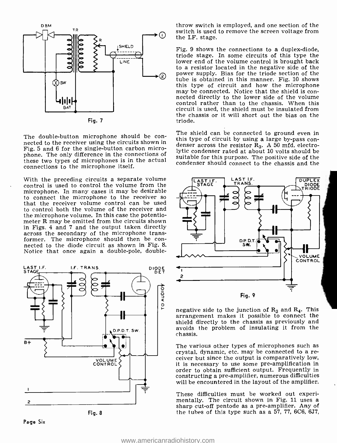

Fig. 5 and 6 for the single-button carbon microphone. The only difference in the connections of these two types of microphones is in the actual connections to the microphone itself.

With the preceding circuits a separate volume control is used to control the volume from the microphone. In many cases it may be desirable to connect the microphone to the receiver so that the receiver volume control can be used to control both the volume of the receiver and the microphone volume. In this case the potentiometer R may be omitted from the circuits shown in Figs. 4 and 7 and the output taken directly across the secondary of the microphone transformer. The microphone should then be con-<br>nected to the diode circuit as shown in Fig. 8. Notice that once again a double-pole, double-



Fig. 8

throw switch is employed, and one section of the switch is used to remove the screen voltage from the I.F. stage.

Fig. 9 shows the connections to a duplex-diode, triode stage. In some circuits of this type the lower end of the volume control is brought back to a resistor located in the negative side of the power supply. Bias for the triode section of the tube is obtained in this manner. Fig. 10 shows this type of circuit and how the microphone may be connected. Notice that the shield is con- nected directly to the lower side of the volume control rather than to the chassis. When this circuit is used, the shield must be insulated from the chassis or it will short out the bias on the triode.

The double-button microphone should be con-<br>
this type of circuit by using a large by-pass con-<br>
microseted to the receiver using the circuits shown in<br>
microseted to the fact the circuit shown in the dense across the res The shield can be connected to ground even in this type of circuit by using a large by-pass conlytic condenser rated at about 10 volts should be suitable for this purpose. The positive side of the condenser should connect to the chassis and the



negative side to the junction of  $R_3$  and  $R_4$ . This arrangement makes it possible to connect the shield directly to the chassis as previously and avoids the problem of insulating it from the chassis.

The various other types of microphones such as crystal, dynamic, etc. may be connected to a re- ceiver but since the output is comparatively low, it is necessary to use some pre -amplification in order to obtain sufficient output. Frequently in constructing a pre -amplifier, numerous difficulties will be encountered in the layout of the amplifier.

These difficulties must be worked out experi- mentally. The circuit shown in Fig. 11 uses a sharp cut -off pentode as a pre -amplifier. Any of the tubes of this type such as a 57, 77, 6C6, 6J7,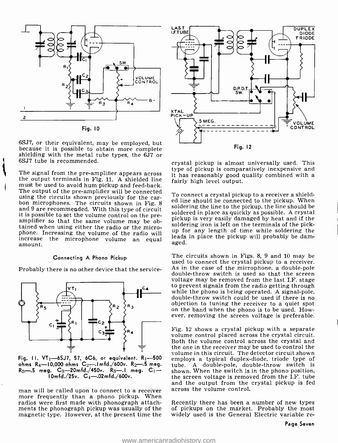

6SJ7, or their equivalent, may be employed, but because it is possible to obtain more complete shielding with the metal tube types, the 6J7 or 6SJ7 tube is recommended.

The signal from the pre-amplifier appears across  $\frac{1}{10}$  has reasonably good the output terminals in Fig. 11. A shielded line fairly high level output. must be used to avoid hum pickup and feed-back. The output of the pre-amplifier will be connected using the circuits shown previously for the carbon microphones. The circuits shown in Fig. 8 and 9 are recommended. With this type of circuit solutions the filte to the pickup, the life should be<br>it is possible to set the volume sentral an the rue soldered in place as quickly as possible. A crystal it is possible to set the volume control on the pre- amplifier so that the same volume may be obtained when using either the radio or the microphone. Increasing the volume of the radio will increase the microphone volume an equal amount.

#### Connecting A Phono Pickup

Probably there is no other device that the service-



Fig. 11.  $VT_1$ -6SJ7, 57, 6C6, or equivalent.  $R_1$ -500 ohms  $R_4$ -10,000 ohms  $C_2$ --1mfd./600v.  $R_2$ --5 meg.  $10mfd./25v. C_4-.02mfd./600v.$ 

man will be called upon to connect to a receiver across the volume control.<br>more frequently than a phono pickup. When radios were first made with phonograph attachments the phonograph pickup was usually of the magnetic type. However, at the present time the



crystal pickup is almost universally used. This type of pickup is comparatively inexpensive and it has reasonably good quality combined with a

To connect a crystal pickup to a receiver a shielded line should be connected to the pickup. When soldering the line to the pickup, the line should be pickup is very easily damaged by heat and if the soldering iron is left on the terminals of the pickup for any length of time while soldering the leads in place the pickup will probably be damaged.

The circuits shown in Figs. 8, 9 and 10 may be used to connect the crystal pickup to a receiver.<br>As in the case of the microphone, a double-pole double-throw switch is used so that the screen voltage may be removed from the last I.F. stage to prevent signals from the radio getting through<br>while the phono is being operated. A signal-pole,<br>double-throw switch could be used if there is no<br>objection to tuning the receiver to a quiet spot<br>on the band when the pho ever, removing the screen voltage is preferable.

 $R_5$ —.5 meg.  $C_3$ —20mfd./450v.  $R_3$ —.1 meg.  $C_1$ — shown. When the switch is in the phono position, Fig. 12 shows a crystal pickup with a separate volume control placed across the crystal circuit. Both the volume control across the crystal and the one in the receiver may be used to control the volume in this circuit. The detector circuit shown employs a typical duplex-diode, triode type of tube. A double -pole, double -throw switch is the screen voltage is removed from the I.F. tube and the output from the crystal pickup is fed

> Recently there has been a number of new types of pickups on the market. Probably the most widely used is the General Electric variable re-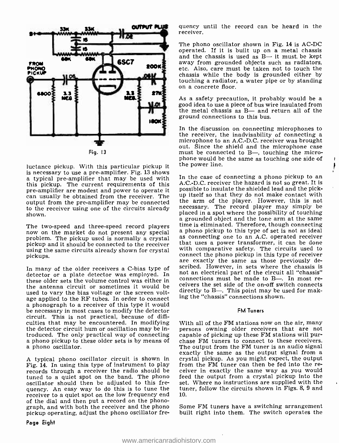

luctance pickup. With this particular pickup it a typical pre-amplifier that may be used with In the case of connecting a phono pickup to an this pickup. The current requirements of this pre -amplifier are modest and power to operate it can usually be obtained from the receiver. The output from the pre-amplifier may be connected to the receiver using one of the circuits already shown.

using the same circuits already shown for crystal pickups.

In many of the older receivers a C-bias type of detector or a plate detector was employed. In  $\frac{100 \text{ m}}{200 \text{ m}}$  and electrical part of the circuit all "chassis" these older sets the volume control was either in the antenna circuit or sometimes it would be used to vary the bias voltage or the screen voltage applied to the RF tubes. In order to connect a phonograph to a receiver of this type it would be necessary in most cases to modify the detector circuit. This is not practical, because of difficulties that may be encountered. In modifying the detector circuit hum or oscillation may be introduced. The only practical way of connecting a phono pickup to these older sets is by means of a phono oscillator.

Fig. 14. In using this type of instrument to play records through a receiver the radio should be tuned to a quiet spot on the band. The phono oscillator should then be adjusted to this frequency. An easy way to do this is to tune the receiver to a quiet spot on the low frequency end of the dial and then put a record on the phonograph, and with both the receiver and the phono Some FM tuners have a switching arrangement pickup operating, adjust the phono oscillator fre-

quency until the record can be heard in the receiver.

The phono oscillator shown in Fig. 14 is AC-DC operated. If it is built up on a metal chassis and the chassis is used as  $B-$  it must be kept away from grounded objects such as radiators, etc. Also, care must be taken not to touch the chassis while the body is grounded either by touching a radiator, a water pipe or by standing on a concrete floor.

As a safety precaution, it probably would be a good idea to use a piece of bus wire insulated from the metal chassis as  $B-$  and return all of the ground connections to this bus.

In the discussion on connecting microphones to the receiver, the inadvisability of connecting a microphone to an A.C.-D.C. receiver was brought out. Since the shield and the microphone case must be connected to B-, touching the microphone would be the same as touching one side of the power line.

The two-speed and three-speed record players ime is eliminated. Therefore, though connecting<br>now on the market do not present any special a phono pickup to this type of set is not as ideal<br>problem. The pickup used is norma A.C.-D.C. receiver the hazard is not so great. It is possible to insulate the shielded lead and the pickup itself so that they do not make contact with the arm of the player. However, this is not necessary. The record player may simply be placed in a spot where the possibility of touching a grounded object and the tone arm at the same<br>time is eliminated. Therefore, though connecting<br>a phono pickup to this type of set is not as ideal that uses a power transformer, it can be done with comparative safety. The circuits used to connect the phono pickup in this type of receiver are exactly the same as those previously described. However, in sets where the chassis is not an electrical part of the circuit all "chassis" ceivers the set side of the on-off switch connects directly to B-. This point may be used for making the "chassis" connections shown.

#### FM Tuners

A typical phono oscillator circuit is shown in crystal pickup. As you might expect, the output Fig. 14. In using this type of instrument to play from the FM tuner can then be fed into the re-With all of the FM stations now on the air, many persons owning older receivers that are not capable of picking up these FM stations will purchase FM tuners to connect to these receivers. The output from the FM tuner is an audio signal exactly the same as the output signal from a ceiver in exactly the same way as you would feed the output from a crystal pickup into the set. Where no instructions are supplied with the tuner, follow the circuits shown in Figs. 8, 9 and 10.

built right into them. The switch operates the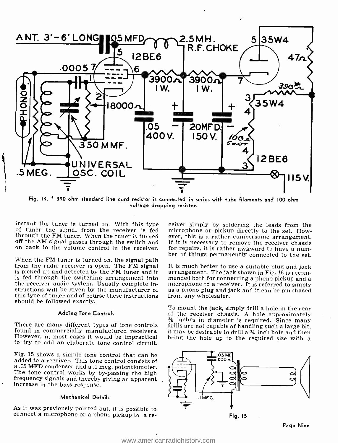

Fig. 14. \* 390 ohm standard line cord resistor is connected in series with tube filaments and 100 ohm voltage dropping resistor.

instant the tuner is turned on. With this type of tuner the signal from the receiver is fed through the FM tuner. When the tuner is turned ever, this is a rather cumbersome arrangement.<br>off the AM signal passes through the switch and If it is necessary to remove the receiver chassis

When the FM tuner is turned on, the signal path<br>from the radio receiver is open. The FM signal It is much better to use a suitable plug and jack<br>is picked up and detected by the FM tuner and it arrangement. The jack shown is picked up and detected by the FM tuner and it is fed through the switching arrangement into mended both for connecting a phono pickup and a the receiver audio system. Usually complete in-<br>microphone to a receiver. It is referred to simply the receiver audio system. Usually complete instructions will be given by the manufacturer of as a phono plug and jack and it can be purchased<br>this type of tuner and of course these instructions from any wholesaler. this type of tuner and of course these instructions should be followed exactly.

#### Adding Tone Controls

found in commercially manufactured receivers. However, in most cases it would be impractical to try to add an elaborate tone control circuit.

Fig. 15 shows a simple tone control that can be a .05 MFD condenser and a .1 meg. potentiometer.<br>The tone control works by by-passing the high<br>frequency signals and thereby giving an apparent<br>increase in the bass response.

#### Mechanical Details

As it was previously pointed out, it is possible to connect a microphone or a phono pickup to a re-

off the AM signal passes through the switch and If it is necessary to remove the receiver chassis<br>on back to the volume control in the receiver. for repairs, it is rather awkward to have a num-<br>ber of things permanently co ceiver simply by soldering the leads from the microphone or pickup directly to the set. However, this is a rather cumbersome arrangement. for repairs, it is rather awkward to have a num-

mended both for connecting a phono pickup and a

<sup>36</sup> inches in diameter is required. Since many<br>There are many different types of tone controls drills are not capable of handling such a large bit,<br>found in commercially manufactured receivers. it may be desirable to dril To mount the jack, simply drill a hole in the rear<br>of the receiver chassis. A hole approximately drills are not capable of handling such a large bit, bring the hole up to the required size with a

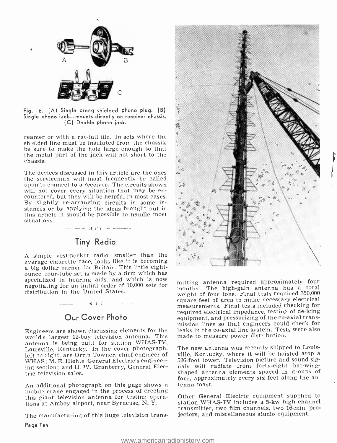

Fig. 16. (A) Single prong shielded phono plug. (B) Single phono jack--mounts directly on receiver chassis. (C) Double phono jack.

reamer or with a rat-tail file. In sets where the shielded line must be insulated from the chassis, be sure to make the hole large enough so that the metal part of the jack will not short to the chassis.

The devices discussed in this article are the ones the serviceman will most frequently be called upon to connect to a receiver. The circuits shown will not cover every situation that may be en-<br>countered, but they will be helpful in most cases.<br>By slightly re-arranging circuits in some instances or by applying the ideas brought out in this article it should be possible to handle most

# Tiny Radio

 $-$  -  $n r i$  - ------

A simple vest-pocket radio, smaller than the average cigarette case, looks like it is becoming a big dollar earner for Britain. This little eight-<br>ounce, four-tube set is made by a firm which has specialized in hearing aids, and which is now negotiating for an initial order of 10,000 sets for distribution in the United States.

# Our Cover Photo

 $-\rightarrow v$  r i  $-\rightarrow -$ 

Engineers are shown discussing elements for the world's largest 12 -bay television antenna. This antenna is being built for station WHAS-TV, Louisville, Kentucky. In the cover photograph, left to right, are Orrin Towner, chief engineer of WHAS; M. E. Hiehle, General Electric's engineering section; and H. W. Granberry, General Electric television sales.

An additional photograph on this page shows a tenna mast.<br>mobile crane engaged in the process of erecting this giant television antenna for testing operations at Amboy airport, near Syracuse, N. Y.

The manufacturing of this huge television trans-



mitting antenna required approximately four months. The high-gain antenna has a total weight of four tons. Final tests required 350,000 square feet of area to make necessary electrical measurements. Final tests included checking for required electrical impedance, testing of de -icing equipment, and pressurizing of the co-axial transmission lines so that engineers could check for leaks in the co-axial line system. Tests were also made to measure power distribution.

The new antenna was recently shipped to Louisville, Kentucky, where it will be hoisted atop a 526 -foot tower. Television picture and sound signals will radiate from forty-eight bat-wingshaped antenna elements spaced in groups of four, approximately every six feet along the an-

Other General Electric equipment supplied to station WHAS-TV includes a 5-kw high channel transmitter, two film channels, two 16-mm. projectors, and miscellaneous studio equipment.

Page Ten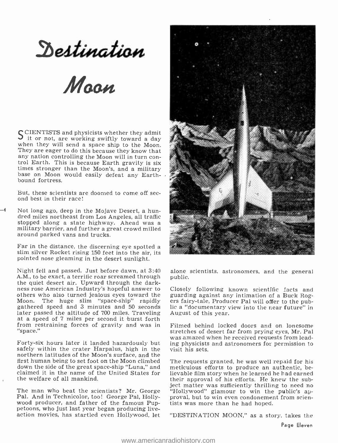Destination

 $M$ 

SCIENTISTS and physicists whether they admit<br>
when they will send a space ship to the Moon. They are eager to do this because they know that<br>any nation controlling the Moon will in turn control Earth. This is because Earth gravity is six<br>times stronger than the Moon's, and a military base on Moon would easily defeat any Earthbound fortress.

But, these scientists are doomed to come off sec- ond best in their race!

Not long ago, deep in the Mojave Desert, a hundred miles northeast from Los Angeles, all traffic stopped along a state highway. Ahead was a military barrier, and further a great crowd milled around parked vans and trucks.

Far in the distance, the discerning eye spotted a slim silver Rocket rising 150 feet into the air, its pointed nose gleaming in the desert sunlight.

Night fell and passed. Just before dawn, at 3:40 alone :<br>A.M., to be exact, a terrific roar screamed through public. the quiet desert air. Upward through the dark-<br>ness rose American Industry's hopeful answer to Closely following known scientific facts and<br>others who also turned jealous eyes toward the guarding against any intimation of others who also turned jealous eyes toward the guarding against any intimation of a Buck Rog-<br>Moon. The huge slim "space-ship" rapidly ers fairy-tale, Producer Pal will offer to the pub-Moon. The huge slim "space- ship" rapidly gathered speed and 3 minutes and 50 seconds later passed the altitude of 700 miles. Traveling at a speed of 7 miles per second it burst forth from restraining forces of gravity and was in "space."

safely within the crater Harpalus, high in the northern latitudes of the Moon's surface, and the first human being to set foot on the Moon climbed down the side of the great space -ship "Luna," and claimed it in the name of the United States for the welfare of all mankind.

The man who beat the scientists? Mr. George <br>
Pal. And in Technicolor, too! George Pal, Holly-<br>
wood producer, and father of the famous Public-<br>
wood producer, and father of the famous Public-<br>
persons, who just last year



alone scientists, astronomers, and the general

Closely following known scientific facts and lic a "documentary view into the near future" in August of this year.

was amazed when he received requests from lead-<br>Forty-six hours later it landed hazardously but ing physicists and astronomers for permission to Filmed behind locked doors and on lonesome stretches of desert far from prying eyes, Mr. Pal ing physicists and astronomers for permission to visit his sets.

> The requests granted, he was well repaid for his meticulous efforts to produce an authentic, believable film story when he learned he had earned their approval of his efforts. He knew the sub-"Hollywood" glamour to win the public's aptists was more than he had hoped.

> "DESTINATION MOON," as a story, takes the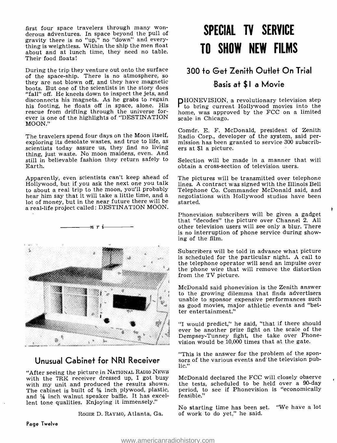first four space travelers through many won-<br>derous adventures. In space beyond the pull of gravity there is no "up," no "down" and everything is weightless. Within the ship the men float about and at lunch time, they need no table. Their food floats!

During the trip they venture out onto the surface of the space -ship. There is no atmosphere, so they are not blown off, and they have magnetic boots. But one of the scientists in the story does "fall" off. He kneels down to inspect the jets, and disconnects his magnets. As he grabs to regain<br>his footing, he floats off in space, alone. His rescue from drifting through the universe for-<br>ever is one of the highlights of "DESTINATION MOON."

The travelers spend four days on the Moon itself, Radio Corp., developer of the system, said per-<br>exploring its desolate wastes, and true to life, as mission has been granted to service 300 subscribscientists today assure us, they find no living ers at \$1 a picture. thing, just waste. No moon maidens, even. And still in believable fashion they return safely to Selection will be made in a manner th<br>Earth. Earth.

Apparently, even scientists can't keep ahead of Hollywood, but if you ask the next one you talk to about a real trip to the moon, you'll probably hot of money, but in the near future there will be a real-life project called: DESTINATION MOON.



"After seeing the picture in NATIONAL RADIO NEws with the 7RK receiver dressed up, I got busy with my unit and produced the results shown. The cabinet is built of  $\frac{1}{2}$  inch plywood, plastic, and % inch walnut speaker baffle. It has excellent tone qualities. Enjoying it immensely."

ROGER D. RAYMO, Atlanta, Ga.

# SPECIAL TV SERVICE TO SHOW NEW FILMS

# 300 to Get Zenith Outlet On Trial

### Basis at \$1 a Movie

PHONEVISION, a revolutionary television step to bring current Hollywood movies into the home, was approved by the FCC on a limited scale in Chicago.

Comdr. E. F. McDonald, president of Zenith Radio Corp., developer of the system, said per- mission has been granted to service 300 subscrib- ers at \$1 a picture.

Selection will be made in a manner that will

The pictures will be transmitted over telephone. lines. A contract was signed with the Illinois Bell Telephone Co. Commander McDonald said, and negotiations with Hollywood studios have been started.

Phonevision subscribers will be given a gadget that "decodes" the picture over Channel 2. All other television users will see only a blur. There is no interruption of phone service during showing of the film.

1

Subscribers will be told in advance what picture is scheduled for the particular night. A call to the phone wire that will remove the distortion from the TV picture.

McDonald said phonevision is the Zenith answer to the growing dilemma that finds advertisers unable to sponsor expensive performances such as good movies, major athletic events and "better entertainment."

"I would predict," he said, "that if there should ever be another prize fight on the scale of the vision would be 10,000 times that at the gate.

Unusual Cabinet for NRI Receiver sors of the various events and the television pub-"This is the answer for the problem of the sponlic."

> McDonald declared the FCC will closely observe the tests, scheduled to be held over a 90-day period, to see if Phonevision is "economically feasible."

> No starting time has been set. "We have a lot of work to do yet," he said.

Page Twelve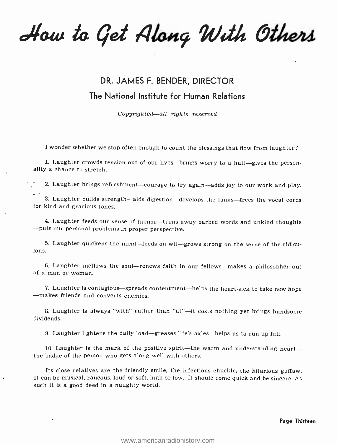How to Get Along With Others

# DR. JAMES F. BENDER, DIRECTOR The National Institute for Human Relations

Copyrighted—all rights reserved

I wonder whether we stop often enough to count the blessings that flow from laughter?

1. Laughter crowds tension out of our lives--brings worry to a halt-gives the person-<br>ality a chance to stretch.

2. Laughter brings refreshment-courage to try again-adds joy to our work and play.

3. Laughter builds strength—aids digestion—develops the lungs—frees the vocal cords for kind and gracious tones.

4. Laughter feeds our sense of humor--turns away barbed words and unkind thoughts --puts our personal problems in proper perspective.

5. Laughter quickens the mind—feeds on wit—grows strong on the sense of the ridiculous.

6. Laughter mellows the soul—renews faith in our fellows—makes a philosopher out of a man or woman.

7. Laughter is contagious-spreads contentment-helps the heart-sick to take new hope<br>--makes friends and converts enemies.

8. Laughter is always "with" rather than "at" $\div$ -it costs nothing yet brings handsome dividends.

9. Laughter lightens the daily load-greases life's axles-helps us to run up hill.

10. Laughter is the mark of the positive spirit—the warm and understanding heart— $$ the badge of the person who gets along well with others.

Its close relatives are the friendly smile, the infectious chuckle, the hilarious guffaw. It can be musical, raucous, loud or soft, high or low. It should come quick and be sincere. As such it is a good deed in a naughty world.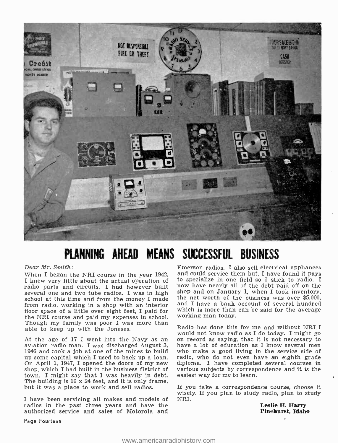

# PLANNING AHEAD MEANS SUCCESSFUL BUSINESS

Dear Mr. Smith:

I knew very little about the actual operation of radio parts and circuits. I had however built several one and two tube radios. I was in high school at this time and from the money I made the net worth of the business was over  $$5,000$ , from radio, working in a shop with an interior floor space of a little over eight feet, I paid for which is more than<br>the NBI course and paid my expanses in school working man today. the NRI course and paid my expenses in school. Though my family was poor I was more than able to keep up with the Joneses.

At the age of 17 I went into the Navy as an on record as saying, that it is not necessary to aviation radio man. I was discharged August 3, have a lot of education as I know several men 1946 and took a job at one of the mines to build who make a good living in the service side of up some capital which I used to back up a loan. radio, who do not even have an eighth grade up some capital which I used to back up a loan. On April 1, 1947, I opened the doors of my new shop, which I had built in the business district of town. I might say that I was heavily in debt. The building is 16 x 24 feet, and it is only frame, but it was a place to work and sell radios.

I have been servicing all makes and models of NRI. radios in the past three years and have the authorized service and sales of Motorola and

When I began the NRI course in the year  $1942$ , and could service them but, I have found it pays I knew very little about the actual operation of to specialize in one field so I stick to radio. I Emerson radios. I also sell electrical appliances now have nearly all of the debt paid off on the shop and on January 1, when I took inventory, and I have a bank account of several hundred which is more than can be said for the average

> Radio has done this for me and without NRI I on record as saying, that it is not necessary to who make a good living in the service side of diploma. I have completed several courses in various subjects by correspondence and it is the easiest way for me to learn.

If you take a correspondence course, choose it wisely. If you plan to study radio, plan to study

Leslie H. Harry<br>Pinehurst, Idaho

Page Fourteen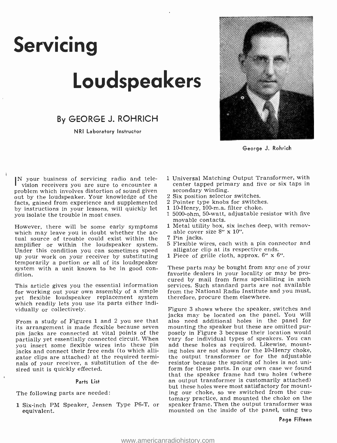# Servicing Loudspeakers

By GEORGE J. ROHRICH

NRI Laboratory Instructor



George J. Rohrich

IN your business of servicing radio and tele-<br>vision receivers you are sure to encounter a problem which involves distortion of sound given out by the loudspeaker. Your knowledge of the facts, gained from experience and supplemented by instructions in your lessons, will quickly let<br>you isolate the trouble in most cases.

However, there will be some early symptoms 1 Metal utility box, six ince which may leave you in doubt whether the ac-<br>tual source of trouble could exist within the 7 Pin jacks. amplifier or within the loudspeaker system. Under this condition you can sometimes speed up your work on your receiver by substituting temporarily a portion or all of its loudspeaker system with a unit known to be in good con- dition.

This article gives you the essential information for working out your own assembly of a simple yet flexible loudspeaker replacement system which readily lets you use its parts either individually or collectively.

From a study of Figures 1 and 2 you see that its arrangement is made flexible because seven pin jacks are connected at vital points of the partially yet essentially connected circuit. When vary for individual types of speakers. You can<br>vou insert some flexible wires into these pin add these holes as required. Likewise, mountyou insert some flexible wires into these pin jacks and connect their free ends (to which alligator clips are attached) at the required terminals of your receiver, a substitution of the desired unit is quickly effected.

#### Parts List

The following parts are needed:

<sup>1</sup>Six -inch PM Speaker, Jensen Type P6 -T, or equivalent.

- <sup>1</sup>Universal Matching Output Transformer, with center tapped primary and five or six taps in secondary winding.
- 2 Six position selector switches.
- 2 Pointer type knobs for switches.
- 1 10-Henry, 100-m.a. filter choke.
- <sup>1</sup>5000 -ohm, 50 -watt, adjustable resistor with five movable contacts.
- 1 Metal utility box, six inches deep, with remov-
- 7 Pin jacks.
- 5 Flexible wires, each with a pin connector and alligator clip at its respective ends.
- 1 Piece of grille cloth, approx.  $6''$  x  $6''$ .

These parts may be bought from any one of your favorite dealers in your locality or may be procured by mail from firms specializing in such services. Such standard parts are not available from the National Radio Institute and you must, therefore, procure them elsewhere.

Figure 3 shows where the speaker, switches and jacks may be located on the panel. You will also need additional holes in the panel for mounting the speaker but these are omitted purposely in Figure 3 because their location would vary for individual types of speakers. You can ing holes are not shown for the 10 -Henry choke, the output transformer or for the adjustable resistor because the spacing of holes is not uniform for these parts. In our own case we found that the speaker frame had two holes (where an output transformer is customarily attached) but these holes were most satisfactory for mounting our choke, so we switched from the cus-<br>tomary practice, and mounted the choke on the<br>speaker frame. Then the output transformer was mounted on the inside of the panel, using two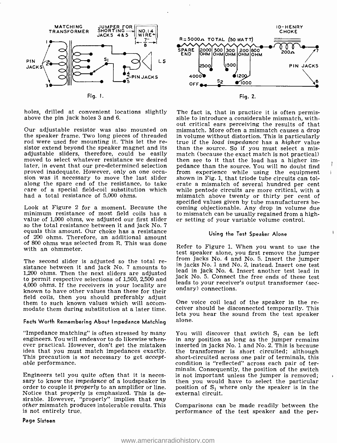

holes, drilled at convenient locations slightly above the pin jack holes 3 and 6.

Our adjustable resistor was also mounted on mismatch. More often a mismatch causes a drop<br>the speaker frame. Two long pieces of threaded in volume without distortion. This is particularly<br>rod were used for mounting it. Thi sistor extend beyond the speaker magnet and its is than the source. So if you must select a mis-<br>adjustable sliders, therefore, could be easily match (because the exact match is not practical) adjustable sliders, therefore, could be easily moved to select whatever resistance we desired later, in event that our pre-determined selection<br>proved inadequate. However, only on one occasion was it necessary to move the last slider shown in Fig. 1, that triode tube circuits can tolalong the spare end of the resistance, to take erate a mismatch of several hundred per cent care of a special field-coil substitution which while pentode circuits are more critical, with a care of a special field-coil substitution which had a total resistance of 5,000 ohms.

Look at Figure 2 for a moment. Because the minimum resistance of most field coils has a to mismatch can be usually regained from a value of 1,000 ohms, we adjusted our first slider er setting of your variable volume control. So the total resistance between it and equals this amount. Our choke has a resistance of 200 ohms. Therefore, an additional amount of 800 ohms was selected from R. This was done with an ohmmeter.

The second slider is adjusted so the total re- sistance between it and jack No. 7 amounts to 1,200 ohms. Then the next sliders are adjusted to permit respective selections of 1,500, 2,500 and 4,000 onms. If the receivers in your locality are ondary) connections. field coils, then you should preferably adjust<br>them to such known values which will accom-<br>modate them during substitution at a later time. ceiver should be disconnected temporarily. This

### Facts Worth Remembering About Impedance Matching alone.

"Impedance matching" is often stressed by many engineers. You will endeavor to do likewise when- ever practical. However, don't get the mistaken This precaution is not necessary to get accept- able performance.

Engineers tell you quite often that it is neces-<br>sary to know the *impedance* of a loudspeaker in then you would have to select the particular order to couple it properly to an amplifier or line. Notice that properly is emphasized. This is desirable. However, "properly" implies that any other mismatch produces intolerable results. This is not entirely true.



Fig. 2.

The fact is, that in practice it is often permis- sible to introduce a considerable mismatch, without critical ears perceiving the results of that in volume without distortion. This is particularly than the source. So if you must select a misthen see to it that the load has a higher impedance than the source. You will no doubt find from experience while using the equipment erate a mismatch of several hundred per cent mismatch above twenty or thirty per cent of specified values given by tube manufacturers becoming objectionable. Any drop in volume due to mismatch can be usually regained from a high-

#### Using the Test Speaker Alone

Refer to Figure 1. When you want to use the test speaker alone, you first remove the jumper from jacks No. 4 and No. 5. Insert the jumper in jacks No. 1 and No. 2, instead. Insert one test lead in jack No. 4. Insert another test lead in jack No. 5. Connect the free ends of these test leads to your receiver's output transformer (sec-

One voice coil lead of the speaker in the relets you hear the sound from the test speaker

You will discover that switch  $S_1$  can be left in any position as long as the jumper remains inserted in jacks No. 1 and No. 2. This is because the transformer is short circuited; although short -circuited across one pair of terminals, this condition is "reflected" across each pair of terminals. Consequently, the position of the switch is not important unless the jumper is removed; position of  $S_1$  where only the speaker is in the external circuit.

Comparisons can be made readily between the performance of the test speaker and the per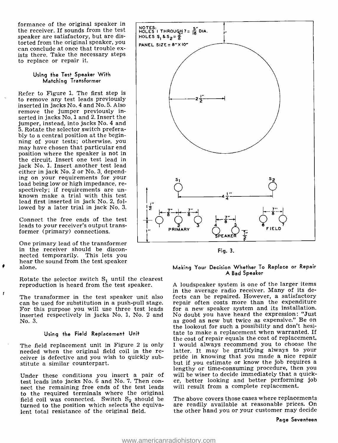formance of the original speaker in the receiver. If sounds from the test speaker are satisfactory, but are distorted from the original speaker, you can conclude at once that trouble ex- ists there. Take the necessary steps to replace or repair it.

#### Using the Test Speaker With Matching Transformer

Refer to Figure 1. The first step is<br>to remove any test leads previously inserted in jacks No. 4 and No. 5. Also<br>remove the jumper previously inserted in jacks No. 1 and 2. Insert the jumper, instead, into jacks No. 4 and 5. Rotate the selector switch preferably to a central position at the beginning of your tests; otherwise, you may have chosen that particular end position where the speaker is not in the circuit. Insert one test lead in jack No. 1. Insert another test lead either in jack No. 2 or No. 3, depending on your requirements for your<br>load being low or high impedance, respectively; if requirements are un-<br>known make a trial with this test lead first inserted in jack No. 2, followed by a later trial in jack No. 3.

Connect the free ends of the test leads to your receiver's output transformer (primary) connections.

One primary lead of the transformer in the receiver should be disconnected temporarily. This lets you hear the sound from the test speaker alone.

 $\mathbf{r}$ 

Rotate the selector switch  $S_1$  until the clearest reproduction is heard from the test speaker.

inserted respectively in jacks No. 1, No. 2 and No doubt you have heard the expression: "Just<br>No. 3. as good as new but twice as expensive." Be on No. 3.

#### Using the Field Replacement Unit

The field replacement unit in Figure 2 is only needed when the original field coil in the receiver is defective and you wish to quickly substitute a similar counterpart.

Under these conditions you insert a pair of test leads into jacks No. 6 and No. 7. Then con- nect the remaining free ends of the test leads to the required terminals where the original field coil was connected. Switch  $S_2$  should be turned to the position which selects the equivalent total resistance of the original field.



Fig. 3.

#### Making Your Decision Whether To Replace or Repair A Bad Speaker

The transformer in the test speaker unit also fects can be repaired. However, a satisfactory can be used for substitution in a push-pull stage. For the costs more than the expenditure For this purpose you will use three te <sup>A</sup>loudspeaker system is one of the larger items in the average radio receiver. Many of its derepair often costs more than the expenditure for a new speaker system and its installation. No doubt you have heard the expression: "Just as good as new but twice as expensive." Be on the lookout for such a possibility and don't hesitate to make a replacement when warranted. If the cost of repair equals the cost of replacement, I would always recommend you to choose the latter. It may be gratifying always to your pride in knowing that you made a nice repair but if you estimate or know the job requires a lengthy or time- consuming procedure, then you will be wiser to decide immediately that a quicker, better looking and better performing job will result from a complete replacement.

> The above covers those cases where replacements are readily available at reasonable prices. On the other hand you or your customer may decide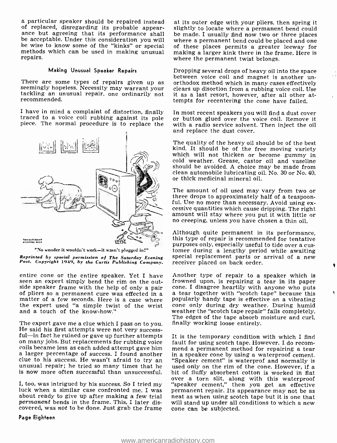a particular speaker should be repaired instead of replaced, disregarding its probable appear-<br>ance but agreeing that its performance shall be made. I usually find now two or three places<br>be acceptable. Under this consideration you will where a permanent bend could be p be acceptable. Under this consideration you will methods which can be used in making unusual repairs.

#### Making Unusual Speaker Repairs

There are some types of repairs given up as seemingly hopeless. Necessity may warrant your tackling an unusual repair, one ordinarily not recommended.



"No wonder it wouldn't work-it wasn't plugged in!"

entire cone or the entire speaker. Yet I have seen an expert simply bend the rim on the outside speaker frame with the help of only a pair cone. I disagree heartily with anyone who puts of pliers so a permanent cure was effected in a matter of a few seconds. Here is a case where popularly handy tape is effective the expert used "a simple twist of the wrist and a touch of the know-how."

The expert gave me a clue which I pass on to you. Inally working loose entirely.<br>He said his first attempts were not very success-<br>ful-in fact he ruined or gave up further attempts It is the temporary condition with which coils became less as each added attempt gave him a larger percentage of success. I found another unusual repair; he tried so many times that he used only on the rim of the cone. However, if a<br>is now more often successful than unsuccessful. bit of fluffy absorbent cotton is worked in flat is now more often successful than unsuccessful.

I, too, was intrigued by his success. So I tried my "speaker cement," then you get an effective luck when a similar case confronted me. I was permanent repair. Its appearance may not be as about ready to give up after maki permanent bends in the frame. This, I later discovered, was not to be done. Just grab the frame cone can be subjected.

#### Page Eighfeen

at its outer edge with your pliers, then spring it slightly to locate where a permanent bend could of these places permits a greater leeway for making a larger kink there in the frame. Here is where the permanent twist belongs.

Dropping several drops of heavy oil into the space between voice coil and magnet is another un-<br>orthodox method which in many cases effectively<br>clears up disortion from a rubbing voice coil. Use it as a last resort, however, after all other attempts for recentering the cone have failed.

I have in mind a complaint of distortion, finally In most recent speakers you will find a dust cover traced to a voice coil rubbing against its pole or button glued over the voice coil. Remove it piece. The normal procedur In most recent speakers you will find a dust cover with a radio service solvent. Then inject the oil

> The quality of the heavy oil should be of the best kind. It should be of the free moving variety which will not thicken or become gummy in cold weather. Grease, castor oil and vaseline should be avoided. A choice may be made from clean automobile lubricating oil. No. 30 or No. 40, or thick medicinal mineral oil.

> The amount of oil used may vary from two or<br>three drops to approximately half of a teaspoon-<br>ful. Use no more than necessary. Avoid using ex-<br>cessive quantities which cause dripping. The right<br>amount will stay where you pu

Reprinted by special permission of The Saturday Evening Special replacement parts or arrival of a new<br>Post. Copyright 1949, by the Curtis Publishing Company. receiver placed on back order. Although quite permanent in its performance, this type of repair is recommended for tentative purposes only, especially useful to tide over a cus-<br>tomer during a lengthy period while awaiting

> Another type of repair to a speaker which is frowned upon, is repairing a tear in its paper popularly handy tape is effective on a vibrating weather the "scotch tape repair" fails completely.

> It is the temporary condition with which I find mend a permanent method for repairing a tear in a speaker cone by using a waterproof cement. "Speaker cement" is waterprof and normally is over a torn slit, along with this waterproof "speaker cement," then you get an effective permanent repair. Its appearance may not be as will stand up under all conditions to which a new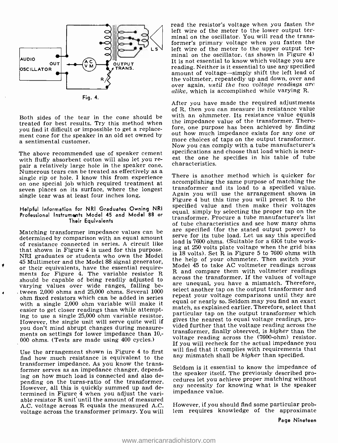

Fig. 4.

Both sides of the tear in the cone should be treated for best results. Try this method when you find it difficult or impossible to get a replacement cone for the speaker in an old set owned by a sentimental customer.

The above recommended use of speaker cement<br>with fluffy absorbent cotton will also let you repair a relatively large hole in the speaker cone.<br>Numerous tears can be treated as effectively as a<br>single rip or hole. I know this from experience<br>on one special job which required treatment at<br>seven places on its surface single tear was at least four inches long.

#### Helpful Information for NRI Graduates Owning NRI Professional Instruments Model 45 and Model 88 or Their Equivalents

determined by comparison with an equal amount of resistance connected in series. A circuit like that shown in Figure 4 is used for this purpose. NRI graduates or students who own the Model <sup>45</sup>Multimeter and the Model 88 signal generator, or their equivalents, have the essential requireor their equivalents, have the essential require-<br>ments for Figure 4. The variable resistor R and compare them with voltmeter readings should be capable of being readily adjusted to varying values over wide ranges, falling between 2,000 ohms and 25,000 ohms. Several 1000 ohm fixed resistors which can be added in series with a single 2,000 ohm variable will make it easier to get closer readings than while attempting to use a single 25,000 ohm variable resistor. However, the single unit will serve quite well if you don't mind abrupt changes during measure- ments on settings for lower impedance than 10; 000 ohms. (Tests are made using 400 cycles.)

Use the arrangement shown in Figure 4 to first find how much resistance is equivalent to the transformer impedance. As you know the transformer serves as an impedance changer, depending on how much load is connected and also depending on the turns-ratio of the transformer. However, all this is quickly summed up and determined in Figure 4 when you adjust the variable resistor R unit until the amount of measured A.C. voltage across R equals the measured A.C. voltage across the transformer primary. You will

 $\Box$  Ls<sup> $\Box$ </sup> left wire of the meter to the upper output terread the resistor's voltage when you fasten the left wire of the meter to the lower output terminal on the oscillator. You will read the transformer's primary voltage when you fasten the minal on the oscillator. (as shown in Figure 4) It is not essential to know which voltage you are reading. Neither is it essential to use any specified amount of voltage-simply shift the left lead of<br>the voltmeter, repeatedly up and down, over and over again, until the two voltage readings are alike, which is accomplished while varying R.

> After you have made the required adjustments of R, then you can measure its resistance value with an ohmmeter. Its resistance value equals the impedance value of the transformer. Therefore, one purpose has been achieved by finding more choices of taps on the output transformer. Now you can comply with a tube manufacturer's specifications and choose that load which is nearest the one he specifies in his table of tube characteristics.

Matching transformer impedance values can be are specified (for the stated output power) to  $\frac{1}{2}$ There is another method which is quicker for accomplishing the same purpose of matching the transformer and its load to a specified value. Again you will use the arrangement shown in Figure 4 but this time you will preset R to the specified value and then make their voltages equal, simply by selecting the proper tap on the transformer. Procure a tube manufacturer's list of tube characteristics and see how many ohms serve for its tube load. Let us say this specified load is 7600 ohms. (Suitable for a 6K6 tube working at 250 volts plate voltage when the grid bias is 18 volts). Set R in Figure 5 to 7600 ohms with the help of your ohmmeter. Then switch your<br>Model 45 to take AC voltmeter readings across across the transformer. If the values of voltage are unequal, you have a mismatch. Therefore, select another tap on the output transformer and repeat your voltage comparisons until they are equal or nearly so. Seldom may you find an exact match, as explained earlier. Therefore, select that particular tap on the output transformer which gives the nearest to equal voltage readings, provided further that the voltage reading across the transformer, finally observed, is higher than the voltage reading across the (7600 -ohm) resistor. If you will recheck for the actual impedance you will find that it complies with requirements that any mismatch shall be higher than specified.

> Seldom is it essential to know the impedance of the speaker itself. The previously described procedures let you achieve proper matching without any necessity for knowing what is the speaker impedance value.

> However, if you should find some particular problem requires knowledge of the approximate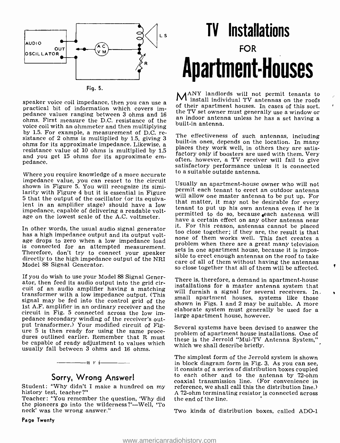

speaker voice coil impedance, then you can use a practical bit of information which covers impedance values ranging between 3 ohms and 16 the TV set owner must generally use a window or<br>pedance values ranging between 3 ohms and 16 an indoor antenna unless he has a set having a ohms. First measure the D.C. resistance of the all indicate antenna. voice coil with an ohmmeter and then multiplying<br>by 1.5. For example, a measurement of D.C. resistance of 2 ohms is multiplied by 1.5, giving 3 and the enectiveness of such antennas, including<br>ohms for its approximate impedance. Likewise, a solution that the location. In many ohms for its approximate impedance. Likewise, a relation work well, in others they are satis-<br>resistance value of 10 ohms is multiplied by 1.5 and you get 15 ohms for its approximate em- pedance.

Where you require knowledge of a more accurate impedance value, you can resort to the circuit shown in Figure 5. You will recognize its similarity with Figure 4 but it is essential in Figure 5 that the output of the oscillator (or its equiva-<br>1 that matter, it may not be desirable in an amplifier stage) should have a low in an amplifier stage) should have a low importance in an amplifier stage in an amplifier impedance, capable of delivering a readable voltage on the lowest scale of the A.C. voltmeter.

In other words, the usual audio signal generator has a high impedance output and its output volthas a high impedance burbut and its burbut voit-<br>age drops to zero when a low impedance load supplying when there are a great many televisian is connected for an attempted measurement. Proviem when there are a great many tenevision<br>Therefore, don't try to connect your speaker sets in one apartment house, because it is impos-Therefore, don't try to connect your speaker sible to erect enough antennas on the roof to take Model 88 Signal Generator.

If you do wish to use your Model 88 Signal Generator, then feed its audio output into the grid circuit of an audio amplifier having a matching transformer with a low impedance output. (This signal apartment houses, systems like those signal may be fed into the control grid of the shown in Figs. 1 and 2 may be suitable. 1st A.F. amplifier in an ordinary receiver and the circuit in Fig. 5 connected across the low impedance secondary winding of the receiver's outure 5 is then ready for using the same proce-<br>dures outlined earlier. Remember that R must be capable of ready adjustment to values which which we shall describe briefly. usually fall between 3 ohms and 16 ohms.



# Sorry, Wrong Answer!

Student: "Why didn't I make a hundred on my history test, teacher ?"

Teacher: "You remember the question, 'Why did the pioneers go into the wilderness?'-Well, 'To neck' was the wrong answer."

Page Twenty

# TV Installations FOR Apartment-Houses

MANY landlords will not permit tenants to install individual TV antennas on the roofs of their apartment houses. In cases of this sort,

The effectiveness of such antennas, including factory only if boosters are used with them. Very often, however, a TV receiver will fail to give satisfactory performance unless it is connected to a suitable outside antenna.

Usually an apartment -house owner who will not permit each tenant to erect an outdoor antenna will allow one master antenna to be put up. For that matter, it may not be desirable for every permitted to do so, because each antenna will have a certain effect on any other antenna near it. For this reason, antennas cannot be placed problem when there are a great many television care of all of them without having the antennas<br>so close together that all of them will be affected.

There is, therefore, a demand in apartment-house installations for a master antenna system that will furnish a signal for several receivers. In. small apartment houses, systems like those elaborate system must generally be used for a<br>large apartment house, however.

Several systems have been devised to answer the problem of apartment house installations. One of these is the Jerrold "Mul-TV Antenna System,"

The simplest form of the Jerrold system is shown in block diagram form in Fig. 3. As you can see, it consists of a series of distribution boxes coupled to each other and to the antenna by 72 -ohm coaxial transmission line. (For convenience in reference, we shall call this the distribution line.) A 72-ohm terminating resistor is connected across

Two kinds of distribution boxes, called ADO-1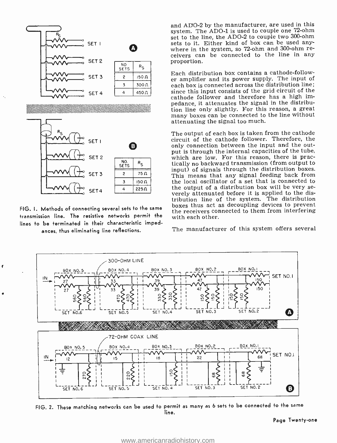

FIG. I. Methods of connecting several sets to the same transmission line. The resistive networks permit the lines to be terminated in their characteristic impedances, thus eliminating line reflections.

and ADO-2 by the manufacturer, are used in this system. The ADO-1 is used to couple one 72-ohm set to the line, the ADO-2 to couple two 300-ohm sets to it. Either kind of box can be used any-<br>where in the system, so 72-ohm and 300-ohm receivers can be connected to the line in any proportion.

Each distribution box contains a cathode-follower amplifier and its power supply. The input of each box is connected across the distribution line; since this input consists of the grid circuit of the cathode follower and therefore has a high impedance, it attenuates the signal in the distribution line only slightly. For this reason, a great many boxes can be connected to the line without attenuating the signal too much.

The output of each box is taken from the cathode circuit of the cathode follower. Therefore, the only connection between the input and the output is through the internal capacities of the tube, which are low. For this reason, there is practically no backward transmission (from output to input) of signals through the distribution boxes. This means that any signal feeding back from the local oscillator of a set that is connected to the output of a distribution box will be very severely attenuated before it is applied to the distribution line of the system. The distribution boxes thus act as decoupling devices to prevent the receivers connected to them from interfering with each other.

The manufacturer of this system offers several



FIG. 2. These matching networks can be used to permit as many as 6 sets to be connected to the same line.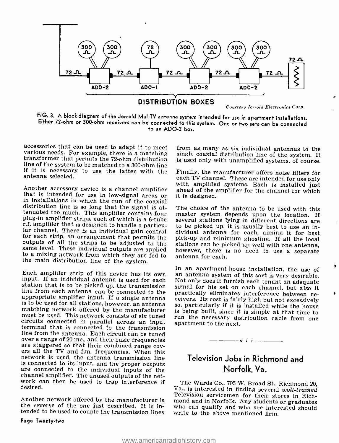

FIG. 3. A block diagram of the Jerrold Mul -TV antenna system intended for use in apartment installations. Either 72 -ohm or 300 -ohm receivers can be connected to this system. One or two sets can be connected to an ADO-2 box.

accessories that can be used to adapt it to meet from as many as six individual antennas to the various needs. For example, there is a matching single coaxial distribution line of the system. It transformer that permits th if it is necessary to use the latter with the antenna selected.

with amplified systems. Each is installed just<br>that is intended for use in low-signal areas or<br>it is designed.<br>in installations in which the run of the coaxial<br>distribution line is so long that the signal is at-<br>The choice outputs of all the strips to be adjusted to the same level. These individual outputs are applied to a mixing network from which they are fed to the main distribution line of the system.

line from each antenna can be connected to the appropriate amplifier input. If a single antenna ceivers. Its cost is fairly high but not excessively is to be used for all stations, however, an antenna so, particularly if i matching network offered by the manufacturer<br>must be used. This network consists of six tuned circuits connected in parallel across an input apartment to the next.<br>terminal that is connected to the transmission<br>line from the antenna. Each circuit can be tuned over a range of 20 mc., and their basic frequencies<br>are staggered so that their combined range cov-<br>ers all the TV and f.m. frequencies. When this<br>network is used, the antenna transmission line is connected to its input, and the proper outputs are connected to the individual inputs of the channel amplifier. The unused outputs of the network can then be used to trap interference if The Wards Co., 705 W. Broad St., Richmond 20, desired.<br>Va., is interested in finding several well-trained desired.

#### Page Twenty -two

single coaxial distribution line of the system. It is used only with unamplified systems, of course.

each TV channel. These are intended for use only

The choice of the antenna to be used with this master system depends upon the location. If however, there is no need to use a separate<br>antenna\_for\_each.

Each amplifier strip of this device has its own in an apartment-house installation, the use of input. If an individual antenna is used for each station that is to be picked up, the transmission signal for his set on each c practically eliminates interference between reso, particularly if it is 'nstalled while the house is being built, since it is simple at that time to run the necessary distribution cable from one

# Television Jobs in Richmond and Norfolk, Va.

 $-\frac{\ }{n}$  r *i*-

Another network offered by the manufacturer is mond and in Norfolk. Any students or graduates the reverse of the one just described. It is in-<br>the reverse of the one just described. It is in-<br>the can qualify and who are in Television servicemen for their stores in Rich-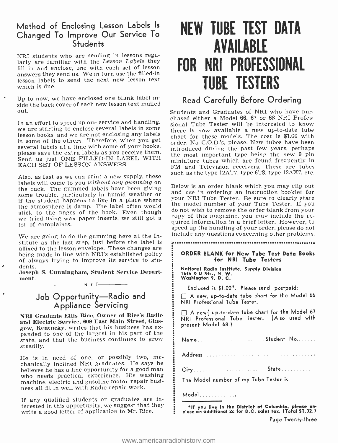## Method of Enclosing Lesson Labels Is Changed To Improve Our Service To **Students**

NRI students who are sending in lessons regularly are familiar with the Lesson Labels they fill in and enclose, one with each set of lesson answers they send us. We in turn use the filled -in lesson labels to send the next new lesson text which is due.

Up to now, we have enclosed one blank label inside the back cover of each new lesson text mailed out.

In an effort to speed up our service and handling, we are starting to enclose several labels in some lesson books, and we are not enclosing any labels in some of the others. Therefore, when you get several labels at a time with some of your books, please save the extra labels as you receive them. Send us just ONE FILLED-IN LABEL WITH EACH SET OF LESSON ANSWERS.

Also, as fast as we can print a new supply, these labels will come to you without any gumming on the back. The gummed labels have been giving<br>some trouble, particularly in humid weather or if the student happens to live in a place where the atmosphere is damp. The label often would<br>stick to the pages of the book. Even though we tried using wax paper inserts, we still got a lot of complaints.

We are going to do the gumming here at the Institute as the last step, just before the label is affixed to the lesson envelope. These changes are<br>being made in line with NRI's established policy of always trying to improve its service to stu- $\ell$  dents.

Joseph S. Cunningham, Student Service Department.

n, 1' i

# Job Opportunity—Radio and Appliance Servicing

٠

and Electric Service, 609 East Main Street, Glas-<br>gow, Kentucky, writes that his business has expanded to one of the largest in his part of the state, and that the business continues to grow steadily.

He is in need of one, or possibly two, me- chanically inclined NRI graduates. He says he believes he has a fine opportunity for a good man who needs practical experience. His washing machine, electric and gasoline motor repair busi- ness all fit in well with Radio repair work.

If any qualified students or graduates are interested in this opportunity, we suggest that they write a good letter of application to Mr. Rice.

# NEW TUBE TEST DATA AVAILABLE FOR NRI PROFESSIONAL TUBE TESTERS

# Read Carefully Before Ordering

Students and Graduates of NRI who have purchased either a Model 66, 67 or 68 NRI Professional Tube Tester will be interested to know there is now available a new up-to-date tube chart for these models. The cost is \$1.00 with order. No C.O.D.'s, please. New tubes have been introduced during the past few years, perhaps the most important type being the new 9 pin miniature tubes which are found frequently in FM and Television receivers. These are tubes such as the type 12AT7, type 6T8, type 12AX7, etc.

Below is an order blank which you may clip out and use in ordering an instruction booklet for your NRI Tube Tester. Be sure to clearly state the model number of your Tube Tester. If you do not wish to remove the order blank from your<br>copy of this magazine, you may include the required information in a brief letter. However, to speed up the handling of your order, please do not include any questions concerning other problems.

#### ORDER BLANK for New Tube Test Data Books for NRI Tube Testers

National Radio Institute, Supply Division 16th & U Sts., N. W. Washington 9, D. C.

Enclosed is \$I.00 \*. Please send, postpaid:

A new, up -to -date tube chart for the Model <sup>66</sup>NRI Professional Tube Tester.

NRI Graduate Ellis Rice, Owner of Rice's Radio  $\Box$  A new up-to-date tube chart for the Model 67 NRI Professional Tube Tester. (Also used with present Model 68.)

Name... . ............... Student No.......

Address

City State

The Model number of my Tube Tester is

Model............

\*If you live in the District of Columbia, please en close an additional 2c for D.C. sales tax. (Total \$1.02.)

Page Twenty -three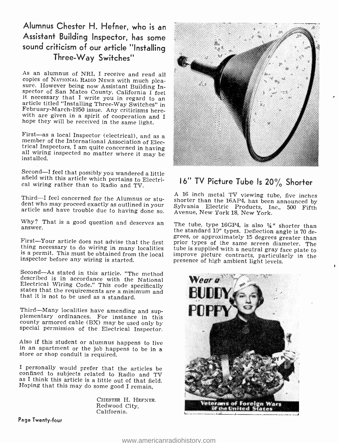# Alumnus Chester H. Hefner, who is an Assistant Building Inspector, has some sound criticism of our article "Installing Three-Way Switches"

As an alumnus of NRI, I receive and read all<br>copies of NATIONAL RADIO NEWS with much plea-<br>sure. However being now Assistant Building In-<br>spector of San Mateo County, California I feel<br>it necessary that I write you in rega

First—as a local Inspector (electrical), and as a member of the International Association of Electrical Inspectors, I am quite concerned in having all wiring inspected no matter where it may be installed.

Second -I feel that possibly you wandered a little afield with this article which pertains to Electri- cal wiring rather than to Radio and TV.

Third -I feel concerned for the Alumnus or stu- dent who may proceed exactly as outlined in your article and have trouble due to having done so.

Why? That is a good question and deserves an answer.

is a permit. This must be obtained from the local inspector before any wiring is started.

Second—As stated in this article. "The method described is in accordance with the National Electrical Wiring Code." This code specifically states that the requirements are a minimum and that it is not to be used as a stand

Third—Many localities have amending and sup-<br>plementary ordinances. For instance in this<br>county armored cable (BX) may be used only by special permission of the Electrical Inspector.

Also if this student or alumnus happens to live in an apartment or the job happens to be in a store or shop conduit is required.

<sup>I</sup>personally would prefer that the articles be confined to subjects related to Radio and TV as I think this article is a little out of that field. Hoping that this may do some good I remain,

CHESTER H. HEFNER. Redwood City, California.



# 16" TV Picture Tube Is 20% Shorter

A 16 inch metal TV viewing tube, five inches shorter than the 16AP4, has been announced by Sylvania Electric Products, Inc., 500 Fifth Avenue, New York 18, New York.

First—Your article does not advise that the first prior types of the same screen diameter. The thing necessary to do wiring in many localities tube is supplied with a neutral gray face plate to is a permit. This must be ob The tube, type 16GP4, is also  $\frac{1}{4}$ " shorter than the standard 10" types. Deflection angle is 70 detube is supplied with a neutral gray face plate to presence of high ambient light levels.



Page Twenty -four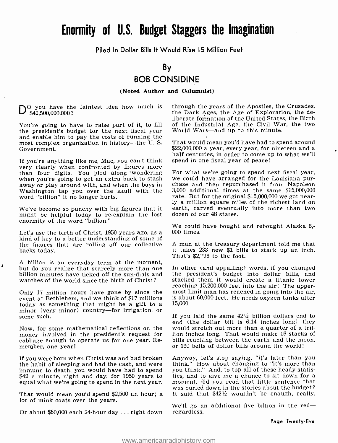# Enormity of U.S. Budget Staggers the Imagination

Piled In Dollar Bills lt Would Rise I5 Million Feet

By

# BOB CONSIDINE

(Noted Author and Columnist)

 $\sum_{\alpha}$  you have the faintest idea how much is \$42,500,000,000?

You're going to have to raise part of it, to fill the president's budget for the next fiscal year and enable him to pay the costs of running the most complex organization in history -the U. S. Government.

If you're anything like me, Mac, you can't think than four digits. You plod along wondering For what we're going to spend next fiscal year,<br>when you're going to get an extra buck to stash we could have arranged for the Louisiana puraway or play around with, and when the boys in Washington tap you over the skull with the word "billion" it no longer hurts.

might be helpful today to re-explain the lost enormity of the word "billion."

Let's use the birth of Christ, 1950 years ago, as a kind of key to a better understanding of some of the figures that are rolling off our collective backs today.

A billion is an everyday term at the moment,<br>but do you realize that scarcely more than one - In other (and appalling) words, if you changed billion minutes have ticked off the sun-dials and watches of the world since the birth of Christ?

è

 $\lambda$ 

Only 17 million hours have gone by since the event at Bethlehem, and we think of \$17 millions today as something that might be a gift to a minor (very minor) country—for irrigation, or some such.

Now, for some mathematical reflections on the money involved in the president's request for lion inches long. That would make 16 stacks of rabber of readshi<br>cabbage enough to operate us for one year. Re- bills reaching between the earth and the moon. cabbage enough to operate us for one year. Remergber, one year!

If you were born when Christ was and had broken Anyway, let's stop saying, "it's later than you<br>the habit of sleeping and had the cash, and were think." How about changing to "it's more than the habit of sleeping and had the cash, and were imink." How about changing to "it's more than immune to death, you would have had to spend you think." And, to top all of these heady statis-<br>\$42 a minute, night and day, fo \$42 a minute, night and day, for 1950 years to

That would mean you'd spend \$2,500 an hour; a lot of mink coats over the years.

Or about \$60,000 each 24-hour day ... right down

through the years of the Apostles, the Crusades, the Dark Ages, the Age of Exploration, the deliberate formation of the United States, the Birth of the Industrial Age, the Civil War, the two World Wars-and up to this minute.

That would mean you'd have had to spend around half centuries, in order to come up to what we'll spend in one fiscal year of peace!

We've become so punchy with big figures that it earth, carved eventually into more than two chase and then repurchased it from Napoleon 3,000 additional times at the same \$15,000,000 rate. But for the original \$15,000,000 we got nearly a million square miles of the richest land on dozen of our 48 states.

> We could have bought and rebought Alaska 6,- 000 times.

> A man at the treasury department told me that it takes 233 new \$1 bills to stack up an inch. That's \$2,796 to the foot.

> the president's budget into dollar bills, and stacked them it would create a titanic tower reaching 15,200,000 feet into the air! The uppermost limit man has reached in going into the air, is about 60,000 feet. He needs oxygen tanks after 15,000.

> If you laid the same  $42\frac{1}{2}$  billion dollars end to end (the dollar bill is 6.14 inches long) they would stretch out more than a quarter of a trillion inches long. That would make 16 stacks of or 160 belts of dollar bills around the world!

equal what we're going to spend in the next year. moment, did you read that little sentence that<br>"was buried down in the stories about the budget Anyway, let's stop saying, "it's later than you you think." And, to top all of these heady statismoment, did you read that little sentence that<br>was buried down in the stories about the budget?<br>It said that \$42½ wouldn't be enough, really.

> We'll go an additional five billion in the  $red$ regardless.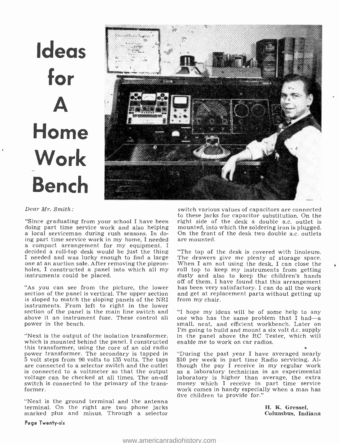# Ideas for A Home Work Bench



#### Dear Mr. Smith:

"Since graduating from your school I have been doing part time service work and also helping a local serviceman during rush seasons. In do-<br>ing part time service work in my home, I needed a local serviceman during rush seasons. In do- On the front of the desk two double a.c. outlets ing part time service work in my home, I needed are mounted.<br>a compact arrangement for my equipment. I decided a roll-top desk would be just the thing <sup>I</sup>needed and was lucky enough to find a large one at an auction sale. After removing the pigeonholes, I constructed a panel into which all my instruments could be placed.

section of the panel is vertical. The upper section and get at repl is sloped to match the sloping panels of the NRI from my chair. is sloped to match the sloping panels of the NRI instruments. From left to right in the lower section of the panel is the main line switch and "I hope my ideas will be of some help to any above it an instrument fuse. These control all one who has the same problem that I had—a above it an instrument fuse. These control all one who has the same problem that I had—a<br>power in the bench. Later on<br>small, neat, and efficient workbench. Later on power in the bench.

"Next is the output of the isolation transformer, which is mounted behind the panel. I constructed this transformer, using the core of an old radio power transformer. The secondary is tapped in "During the past year I have averaged nearly 5 volt steps from 90 volts to 135 volts. The taps \$10 per week in part time Radio servicing. Al-5 volt steps from 90 volts to 135 volts. The taps \$10 per week in part time Radio servicing. Alare connected to a selector switch and the outlet though the pay I receive in my regular work is connected to a voltmeter so th voltage can be checked at all times. The on-off switch is connected to the primary of the transformer.

"Next is the ground terminal and the antenna terminal. On the right are two phone jacks marked plus and minus. Through a selector switch various values of capacitors are connected to these jacks for capacitor substitution. On the right side of the desk a double a.c. outlet is mounted, into which the soldering iron is plugged.

"As you can see from the picture, the lower has been very satisfactory. I can do all the work "The top of the desk is covered with linoleum. The drawers give me plenty of storage space. When I am not using the desk, I can close the dusty and also to keep the children's hands off of them. I have found that this arrangement and get at replacement parts without getting up

> "I hope my ideas will be of some help to any I'm going to build and mount a six volt d.c. supply in the panel above the RC Tester, which will enable me to work on car radios.

> "During the past year I have averaged nearly laboratory is higher than average, the extra money which I receive in part time service work comes in handy especially when a man has five children to provide for."

> > H. K. Gressel, Columbus, Indiana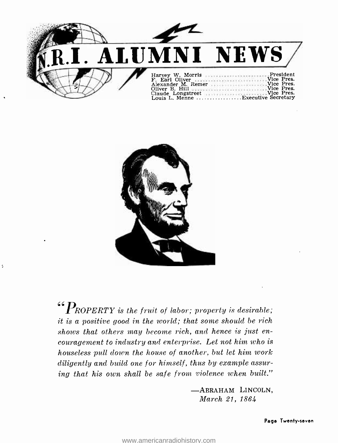



ċ,

 $\begin{aligned} \n\text{``} P_{ROPERTY} \n\text{``} \text{the fruit of labor; property is desirable;} \n\end{aligned}$ it is a positive good in the world; that some should be rich shows that others may become rich, and hence is just encouragement to industry and enterprise. Let not him who is houseless pull down the house of another, but let him work diligently and build one for himself, thus by example assuring that his own shall be safe from violence when built."

> -ABRAHAM LINCOLN, March 21, 1864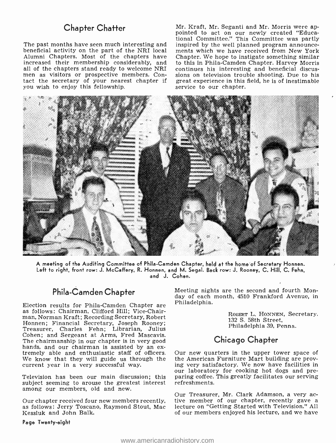### Chapter Chatter

The past months have seen much interesting and inspired by the well planned program announcebeneficial activity on the part of the NRI local Alumni Chapters. Most of the chapters have increased their membership considerably, and all of the chapters stand ready to welcome NRI men as visitors or prospective members. Contact the secretary of your nearest chapter if you wish to enjoy this fellowship.

Mr. Kraft, Mr. Seganti and Mr. Morris were ap-<br>pointed to act on our newly created "Educational Committee." This Committee was partly inspired by the well planned program announcements which we have received from New York Chapter. We hope to instigate something similar to this in Phila-Camden Chapter. Harvey Morris continues his interesting and beneficial discussions on television trouble shooting. Due to his great experience in this field, he is of inestimable service to our chapter.



A meeting of the Auditing Committee of Phila- Camden Chapter, held at the home of Secretary Honnen. Left to right, front row: J. McCaffery, R. Honnen, and M. Segal. Back row: J. Rooney, C. Hill, C. Fehn, and J. Cohen.

## Phila-Camden Chapter

Election results for Phila-Camden Chapter are as follows: Chairman, Clifford Hill; Vice-Chairman, Norman Kraft; Recording Secretary, Robert Honnen; Financial Secretary, Joseph Rooney; Treasurer, Charles Fehn; Librarian, Julius Cohen; and Sergeant at Arms, Fred Mascavis. hands, and our chairman is assisted by an ex-<br>tremely able and enthusiastic staff of officers. Our new quarters in the upper tower space of<br>We know that they will guide us through the the American Furniture Mart building a We know that they will guide us through the current year in a very successful way.

subject seeming to arouse the greatest interest among our members, old and new.

Kessluk and John Balk.

Page Twenty -eight

Meeting nights are the second and fourth Monday of each month, 4510 Frankford Avenue, in Philadelphia.

> ROBERT L. HONNEN, Secretary.<br>132 S. 58th Street, Philadelphia 39, Penna.

### Chicago Chapter

Television has been our main discussion; this paring coffee. This greatly facilitates our serving<br>subject seeming to arouse the greatest interest refreshments. Our new quarters in the upper tower space of ing very satisfactory. We now have facilities in our laboratory for cooking hot dogs and pre-

Our chapter received four new members recently, tive member of our chapter, recently gave a<br>as follows: Jerry Toscano, Raymond Stout, Mac lecture on "Getting Started with Television." All Our Treasurer, Mr. Clark Adamson, a very ac-<br>tive member of our chapter, recently gave a of our members enjoyed his lecture, and we have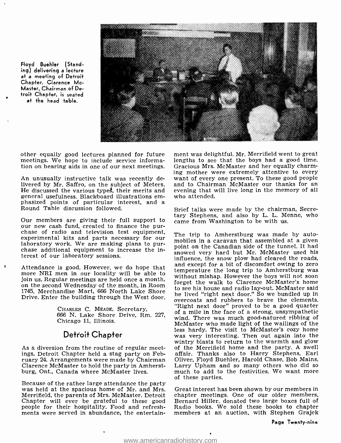

Floyd Buehler (Standing) delivering a lecture at a meeting of Detroit Chapter. Clarence Mc-Master, Chairman of Detroit Chapter, is seated at the head table.

other equally good lectures planned for future – ment was delightful. Mr. Merrifield went to great<br>meetings. We hope to include service informa- – lengths to see that the boys had a good time. meetings. We hope to include service information on hearing aids in one of our next meetings.

An unusually instructive talk was recently delivered by Mr. Saffro, on the subject of Meters. and to Chairman McMaster our thanks for an<br>He discussed the various types, their merits and evening that will live long in the memory of all He discussed the various types, their merits and general usefulness. Blackboard illustrations emphasized points of particular interest, and a Round Table discussion followed.

Our members are giving their full support to came from Washington to be with us, our new cash fund, created to finance the pur-<br>chase of radio and television test equipment, The trip to Amherstburg was made<br>experimental ki laboratory work. We are making plans to pur- chase additional equipment to increase the interest of our laboratory sessions.

join us. Regular meetings are held once a month, without inistiable rowever the boys with not soon<br>on the second Wednesday of the month, in Room forget the walk to Clarence McMaster's home 1745, Merchandise Mart, 666 North Lake Shore Drive. Enter the building through the West door.

> CHARLES C. MEADE, Secretary, 666 N. Lake Shore Drive, Rm. 227, Chicago 11, Illinois.

### Detroit Chapter

As a diversion from the routine of regular meetings, Detroit Chapter held a stag party on February 24. Arrangements were made by Chairman – Oliver, Floyd Buehler, Harold Chase, Bob Mains,<br>Clarence McMaster to hold the party in Amherst- – Larry Upham- and so-many others who did so Clarence McMaster to hold the party in Amherst-<br>burg, Ont., Canada where McMaster lives.

of these parties.<br>Because of the rather large attendance the party<br>was held at the spacious home of Mr. and Mrs. Great interest ha Merrifield, the parents of Mrs. McMaster. Detroit Chapter will ever be grateful to these good people for their hospitality. Food and refreshments were served in abundance, the entertain-

ment was delightful. Mr. Merrifield went to great Gracious Mrs. McMaster and her equally charming mother were extremely attentive to every want of every one present. To these good people and to Chairman McMaster our thanks for an who attended.

Brief talks were made by the chairman, Secretary Stephens, and also by L. L. Menne, who

Attendance is good. However, we do hope that and except for a bit of discomfort owing to zero<br>more NRI men in our locality will be able to without mishap. However the boys will not soon The trip to Amherstburg was made by automobiles in a caravan that assembled at a given point on the Canadian side of the tunnel. It had snowed very hard but Mr. McMaster used his influence, the snow plow had cleared the roads, temperature the long trip to Amherstburg was to see his house and radio lay -out. McMaster said he lived "right next door." So we bundled up in overcoats and rubbers to brave the elements. "Right next door" proved to be a good quarter of a mile in the face of a strong, unsympathetic wind. There was much good-natured ribbing of McMaster who made light of the wailings of the was very interesting. Then out again into the wintry blasts to return to the warmth and glow of the Merrifield home and the party. A swell affair. Thanks also to Harry Stephens, Earl Oliver, Floyd Buehler, Harold Chase, Bob Mains, much to add to the festivities. We want more

> Great interest has been shown by our members in chapter meetings. One of our older members, Bernard Hiller, donated two large boxes full of Radio books. We sold these books to chapter members at an auction, with Stephen Grajek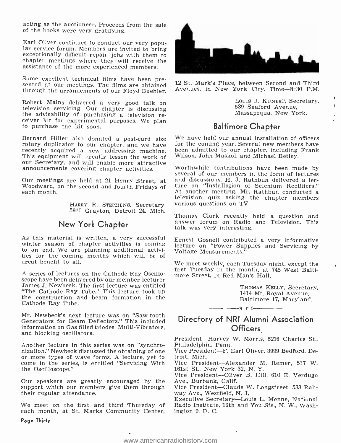acting as the auctioneer. Proceeds from the sale of the books were very gratifying.

Earl Oliver continues to conduct our very popu- lar service forum. Members are invited to bring exceptionally difficult repair jobs with them to chapter meetings where they will receive the assistance of the more experienced members.

Some excellent technical films have been pre- sented at our meetings. The films are obtained through the arrangements of our Floyd Buehler.

Robert Mains delivered a very good talk on television servicing. Our chapter is discussing the advisability of purchasing a television re- ceiver kit for experimental purposes. We plan to purchase the kit soon.

Bernard Hiller also donated a post-card size rotary duplicator to our chapter, and we have recently acquired a new addressing machine.<br>This equipment will greatly lessen the work of our Secretary, and will enable more attractive announcements covering chapter activities.

Our meetings are held at 21 Henry Street, at Woodward, on the second and fourth Fridays of each month.

> HARRY R. SrEPHENS, Secretary, 5910 Grayton, Detroit 24, Mich.

## New York Chapter

As this material is written, a very successful winter season of chapter activities is coming to an end. We are planning additional activito an end. We are planning additional activi-<br>ties for the coming months which will be of great benefit to all.

A series of lectures on the Cathode Ray Oscillo-A series of lectures on the Cathode Ray Oscillo- — more Street, in Red Man's Hall.<br>scope have been delivered by our member-lecturer James J. Newbeck. The first lecture was entitled "The Cathode Ray Tube." This lecture took up the construction and beam formation in the Cathode Ray Tube.

Mr. Newbeck's next lecture was on "Saw-tooth Generators for Beam Deflectors." This included information on Gas filled triodes, Multi-Vibrators, and blocking oscillators.

Another lecture in this series was on "synchro-<br>nization." Newbeck discussed the obtaining of one Or more types of wave forms. A lecture, yet to troit, Mich.<br>come in the series, is entitled "Servicing With Vice President-the Oscilloscope."

Our speakers are greatly encouraged by the support which our members give them through their regular attendance.

We meet on the first and third Thursday of each month, at St. Marks Community Center,

Page Thirty



12 St. Mark's Place, between Second and Third Avenues, in New York City. Time-8:30 P.M.

> Louis J. KUNERT, Secretary, 539 Seaford Avenue, Massapequa, New York.

# Baltimore Chapter

We have held our annual installation of officers for the coming year. Several new members have been admitted to our chapter, including Frank Wilson, John Maskol, and Michael Betley.

Worthwhile contributions have been made by several of our members in the form of lectures and discussions. H. J. Rathbun delivered a lecture on "Installation of Selenium Rectifiers." At another meeting, Mr. Rathbun conducted a television quiz asking the chapter members various questions on TV.

Thomas Clark recently held a question and answer forum on Radio and Television. This talk was very interesting.

Ernest Gosnell contributed a very informative lecture on "Power Supplies and Servicing by

We meet weekly, each Tuesday night, except the first Tuesday in the month, at 745 West Balti-

THOMAS KELLY, Secretary, 1414 Mt. Royal Avenue, Baltimore 17, Maryland.

## Directory of NRI Alumni Association Officers

 $n r$  i  $-$ 

President-Harvey W. Morris, 6216 Charles St.,

Vice President-F. Earl Oliver, 3999 Bedford, Detroit, Mich.

Vice President-Alexander M. Remer, 517 W. 161st St., New York 32, N. Y.

Vice President---Oliver B. Hill, 610 E. Verdugo Ave., Burbank, Calif.

Vice President-Claude W. Longstreet, 533 Rahway Ave., Westfield, N. J.

Executive Secretary-Louis L. Menne, National Radio Institute, 16th and You Sts., N. W., Washington 9, D. C.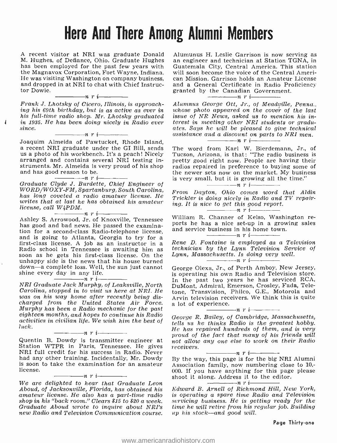# Here And There Among Alumni Members

A recent visitor at NRI was graduate Donald M. Hughes, of Defiance, Ohio. Graduate Hughes has been employed for the past few years with the Magnavox Corporation, Fort Wayne, Indiana. will soon become the voice of the Central Ameri-<br>He was visiting Washington on company business. can Mission. Garrison holds an Amateur License He was visiting Washington on company business, and dropped in at NRI to chat with Chief Instruc-

 $-$ nri $-$ 

Frank J: Lhotsky of Cicero, Illinois, is approach- ing his 69th birthday, but is as active as ever in his full-time radio shop. Mr. Lhotsky graduated in 1935. He has been doing nicely in Radio ever since. n <sup>r</sup>

ı

Joaquim Almeida of Pawtucket, Rhode Island, a recent NRI graduate under the GI Bill, sends us a photo of his workbench. It's a peach! Nicely arranged and contains several NRI testing instruments. Mr. Almeida is very proud of his shop and has good reason to be.<br> $\frac{1}{1}$   $\cdots$   $\cdots$   $\cdots$   $\cdots$   $\cdots$   $\cdots$ 

Graduate Clyde J. Burdette, Chief Engineer of WORD /WOXY -FM, Spartanburg, South Carolina, has long coveted a radio amatuer license. He writes that at last he has obtained his amateur license, call  $W4PDM$ .

Ashley S. Arrowood, Jr. of Knoxville, Tennessee William R. Channer of Kelso, Washington rehas good and bad news. He passed the examina-<br>tion for a second-class Radio-telephone license, and is going to Atlanta, Georgia to try for a<br>first-class license. A job as an instructor in a<br>Radio school in Tennessee is awaiting him as<br>soon as he gets his first-class license. On the unhappy side is the news that his house burned down—a complete loss. Well, the sun just cannot shine every day in any life.<br> $\frac{1}{\sqrt{1-\frac{1}{n}}}\prod_{i=1}^{n}$ 

NRI Graduate Jack Murphy, of Leaksville, North Carolina, stopped in to visit us here at NRI. He was on his way home after recently being discharged from the United States Air Force. a lot of experience. Murphy has been a Radio mechanic for the past eighteen months, and hopes to continue his Radio activities in civilian life. We wish him the best of<br>luck.

#### $\frac{\ }{\ }$  nri $\frac{\ }{\ }$

Quentin B. Dowdy is transmitter engineer at not<br>Station WTPR in Paris, Tennessee. He gives rec<br>NRI full credit for his success in Radio. Never NRI full credit for his success in Radio. Never<br>had any other training. Incidentally, Mr. Dowdy is soon to take the examination for an amateur<br>license.

#### $\frac{1}{\cdot}$ nri $\frac{1}{\cdot}$

Aboud, of Jacksonville, Florida, has obtained his amateur license. He also has a part -time radio shop in his "back room." Clears \$15 to \$20 a week. Graduate Aboud wrote to inquire about NRI's new Radio and Television Communication course.

an engineer and technician at Station TGNA, in Guatemala City, Central America. This station will soon become the voice of the Central Ameriand a General Certificate in Radio Proficiency granted by the Canadian Government.

Alumnus George Ott, Jr., of Meadville, Penna., whose photo appeared on the cover of the last issue of NR News, asked us to mention his interest in meeting other NRI students or graduates. Says he will be pleased to give technical assistance and a discount on parts to NRI men.<br> $\frac{m}{n}$  r i

The word from Karl W. Bierdemann, Jr., of Tucson, Arizona, is that: "The radio business is pretty good right now. People are having their radios repaired in preference to buying some of the newer sets now on the market. My business is very small, but it is growing all the time."

From Dayton, Ohio comes word that Aldin Trickier is doing nicely in Radio and TV repairing. It is nice to get this good report.

ports he has a nice set-up in a growing sales

and service business in his home town.

Rene D. Fontaine is employed as a Television technician by the Lynn Television Service of Lynn, Massachusetts. Is doing very well.<br> $\frac{1}{\sqrt{u} + \sqrt{u}}$   $\frac{1}{\sqrt{u} + \sqrt{u}}$ 

George Olexa, Jr., of Perth Amboy, New Jersey, is operating his own Radio and Television store. In the past two years he has serviced RCA, DuMont, Admiral, Emerson, Crosley, Fada, Teletone, Transvision, Philco, G.E., Motorola and Arvin television receivers. We think this is quite a lot of experience. nri

George R. Bailey, of Cambridge, Massachusetts, tells us he thinks Radio is the greatest hobby.<br>He has repaired hundreds of them, and is very proud of the fact that many of his friends will not allow any one else to work on their Radio<br>receivers.

We are delighted to hear that Graduate Leon shoot it along. Address it to the editor. receivers.<br>By the way, this page is for the big NRI Alumni Association family, now numbering close to 10,- 000. If you have anything for this page please shoot it along. Address it to the editor.

Edward B. Arnell of Richmond Hill, New York, is operating a spare time Radio and Television servicing business. He is getting ready for the time he will retire from his regular job. Building  $up$  his stock--and good will.